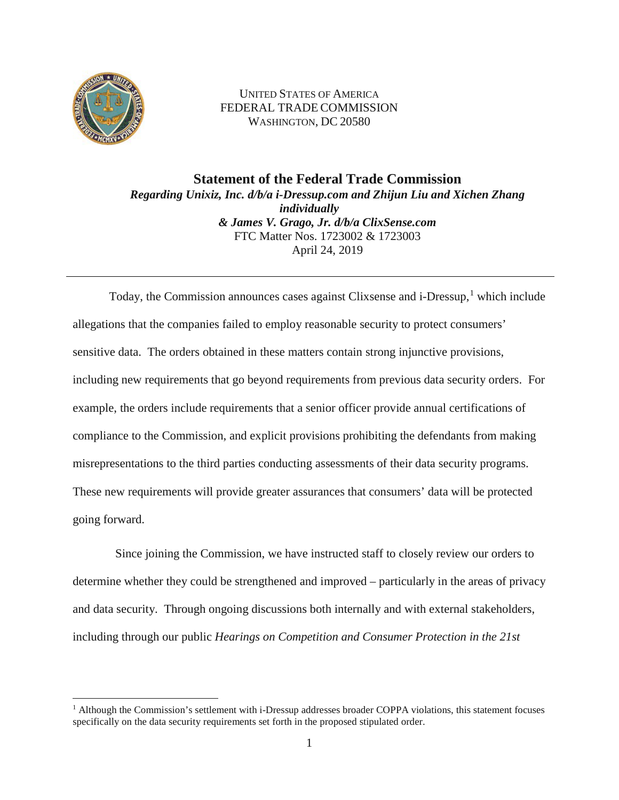

UNITED STATES OF AMERICA FEDERAL TRADE COMMISSION WASHINGTON, DC 20580

**Statement of the Federal Trade Commission** *Regarding Unixiz, Inc. d/b/a i-Dressup.com and Zhijun Liu and Xichen Zhang individually & James V. Grago, Jr. d/b/a ClixSense.com* FTC Matter Nos. 1723002 & 1723003 April 24, 2019

Today, the Commission announces cases against Clixsense and i-Dressup, <sup>1</sup> which include allegations that the companies failed to employ reasonable security to protect consumers' sensitive data. The orders obtained in these matters contain strong injunctive provisions, including new requirements that go beyond requirements from previous data security orders. For example, the orders include requirements that a senior officer provide annual certifications of compliance to the Commission, and explicit provisions prohibiting the defendants from making misrepresentations to the third parties conducting assessments of their data security programs. These new requirements will provide greater assurances that consumers' data will be protected going forward.

Since joining the Commission, we have instructed staff to closely review our orders to determine whether they could be strengthened and improved – particularly in the areas of privacy and data security. Through ongoing discussions both internally and with external stakeholders, including through our public *Hearings on Competition and Consumer Protection in the 21st*

<sup>&</sup>lt;sup>1</sup> Although the Commission's settlement with i-Dressup addresses broader COPPA violations, this statement focuses specifically on the data security requirements set forth in the proposed stipulated order.